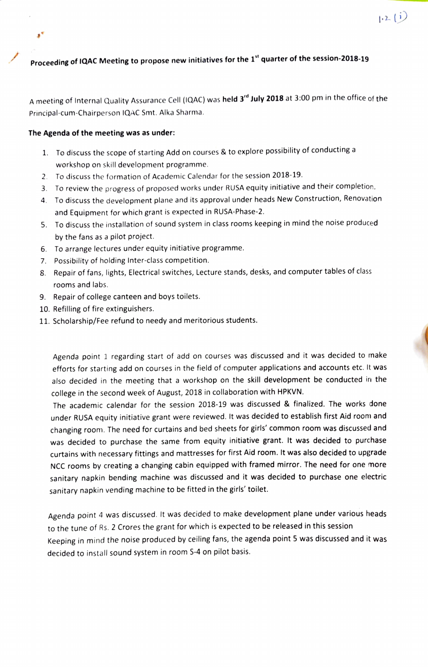## Proceeding of IQAC Meeting to propose new initiatives for the 1" quarter of the session-2018-19

A meeting of Internal Quality Assurance Cell (IQAC) was held 3<sup>rd</sup> July 2018 at 3:00 pm in the office of the Principal-cum-Chairperson 1QAC Smt. Alka Sharma.

## The Agenda of the meeting was as under:

s,

- 1. To discuss the scope of starting Add on courses & to explore possibility of conductinga workshop on skill development programme.
- 2. To discuss the formation of Academic Calendar for the session 2018-19.
- 3. To review the progress of proposed works under RUSA equity initiative and their completion.
- 4 To discuss the development plane and its approval under heads New Construction, Renovation and Equipment for which grant is expected in RUSA-Phase-2.
- 5. To discuss the installation of sound system in class rooms keeping in mind the noise produced by the fans as a pilot project.
- 6. To arrange lectures under equity initiative programme.
- 7. Possibility of holding Inter-class competition.
- 8. Repair of fans, lights, Electrical switches, Lecture stands, desks, and computer tables of class rooms and labs.
- 9. Repair of college canteen and boys toilets.
- 10. Refilling of fire extinguishers.
- 11. Scholarship/Fee refund to needy and meritorious students.

Agenda point 1 regarding start of add on courses was discussed and it was decided to make efforts for starting add on courses in the field of computer applications and accounts etc. It was also decided in the meeting that a workshop on the skill development be conducted in the college in the second week of August, 2018 in collaboration with HPKVN.

The academic calendar for the session 2018-19 was discussed & finalized. The works done under RUSA equity initiative grant were reviewed. It was decided to establish first Aid room and changing room. The need for curtains and bed sheets for girls' common room was discussed and was decided to purchase the same from equity initiative grant. It was decided to purchase curtains with necessary fittings and mattresses for first Aid room. It was also decided to upgrade NCC rooms by creating a changing cabin equipped with framed miror. The need for one more sanitary napkin bending machine was discussed and it was decided to purchase one electric sanitary napkin vending machine to be fitted in the girls' toilet.

Agenda point 4 was discussed. It was decided to make development plane under various heads to the tune of Rs. 2 Crores the grant for which is expected to be released in this session Keeping in mind the noise produced by ceiling fans, the agenda point 5 was discussed and it was decided to install sound system in room S-4 on pilot basis.